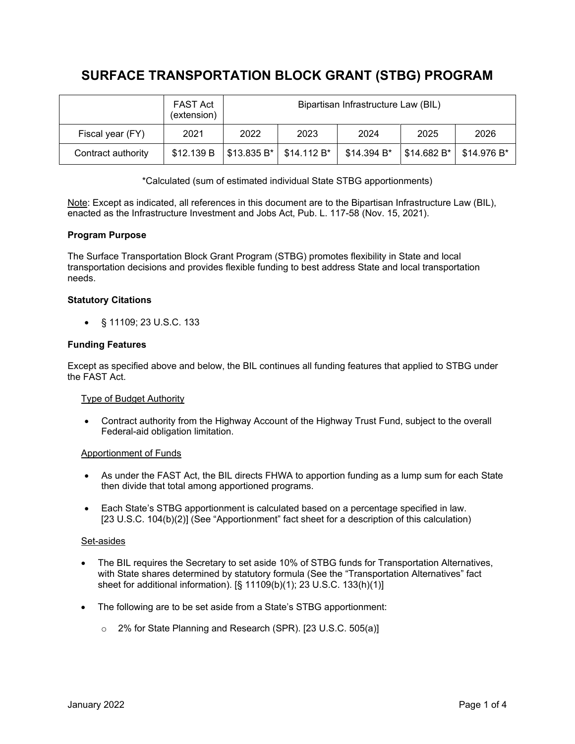# **SURFACE TRANSPORTATION BLOCK GRANT (STBG) PROGRAM**

|                    | <b>FAST Act</b><br>(extension) | Bipartisan Infrastructure Law (BIL) |                           |             |             |             |
|--------------------|--------------------------------|-------------------------------------|---------------------------|-------------|-------------|-------------|
| Fiscal year (FY)   | 2021                           | 2022                                | 2023                      | 2024        | 2025        | 2026        |
| Contract authority | \$12.139 B                     | $ $13.835 B* $                      | $\frac{1}{2}$ \$14.112 B* | \$14.394 B* | \$14.682 B* | \$14.976 B* |

\*Calculated (sum of estimated individual State STBG apportionments)

Note: Except as indicated, all references in this document are to the Bipartisan Infrastructure Law (BIL), enacted as the Infrastructure Investment and Jobs Act, Pub. L. 117-58 (Nov. 15, 2021).

# **Program Purpose**

The Surface Transportation Block Grant Program (STBG) promotes flexibility in State and local transportation decisions and provides flexible funding to best address State and local transportation needs.

## **Statutory Citations**

• § 11109; 23 U.S.C. 133

# **Funding Features**

Except as specified above and below, the BIL continues all funding features that applied to STBG under the FAST Act.

## Type of Budget Authority

• Contract authority from the Highway Account of the Highway Trust Fund, subject to the overall Federal-aid obligation limitation.

## Apportionment of Funds

- As under the FAST Act, the BIL directs FHWA to apportion funding as a lump sum for each State then divide that total among apportioned programs.
- Each State's STBG apportionment is calculated based on a percentage specified in law. [23 U.S.C. 104(b)(2)] (See "Apportionment" fact sheet for a description of this calculation)

## Set-asides

- The BIL requires the Secretary to set aside 10% of STBG funds for Transportation Alternatives, with State shares determined by statutory formula (See the "Transportation Alternatives" fact sheet for additional information). [§ 11109(b)(1); 23 U.S.C. 133(h)(1)]
- The following are to be set aside from a State's STBG apportionment:
	- o 2% for State Planning and Research (SPR). [23 U.S.C. 505(a)]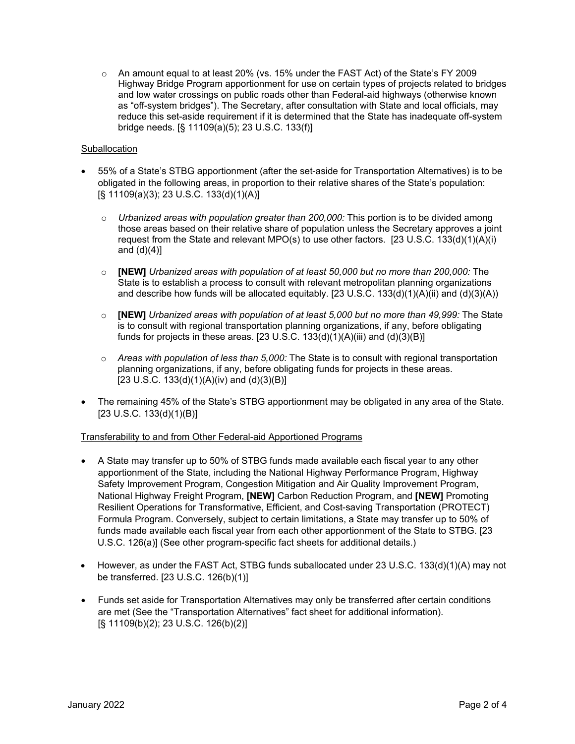o An amount equal to at least 20% (vs. 15% under the FAST Act) of the State's FY 2009 Highway Bridge Program apportionment for use on certain types of projects related to bridges and low water crossings on public roads other than Federal-aid highways (otherwise known as "off-system bridges"). The Secretary, after consultation with State and local officials, may reduce this set-aside requirement if it is determined that the State has inadequate off-system bridge needs. [§ 11109(a)(5); 23 U.S.C. 133(f)]

# **Suballocation**

- 55% of a State's STBG apportionment (after the set-aside for Transportation Alternatives) is to be obligated in the following areas, in proportion to their relative shares of the State's population: [§ 11109(a)(3); 23 U.S.C. 133(d)(1)(A)]
	- o *Urbanized areas with population greater than 200,000:* This portion is to be divided among those areas based on their relative share of population unless the Secretary approves a joint request from the State and relevant MPO(s) to use other factors. [23 U.S.C. 133(d)(1)(A)(i) and  $(d)(4)$ ]
	- o **[NEW]** *Urbanized areas with population of at least 50,000 but no more than 200,000:* The State is to establish a process to consult with relevant metropolitan planning organizations and describe how funds will be allocated equitably. [23 U.S.C. 133(d)(1)(A)(ii) and (d)(3)(A))
	- o **[NEW]** *Urbanized areas with population of at least 5,000 but no more than 49,999:* The State is to consult with regional transportation planning organizations, if any, before obligating funds for projects in these areas.  $[23 \text{ U.S.C. } 133(\text{d})(1)(\text{A})(\text{iii})$  and  $(\text{d})(3)(\text{B})]$
	- o *Areas with population of less than 5,000:* The State is to consult with regional transportation planning organizations, if any, before obligating funds for projects in these areas. [23 U.S.C. 133(d)(1)(A)(iv) and (d)(3)(B)]
- The remaining 45% of the State's STBG apportionment may be obligated in any area of the State. [23 U.S.C. 133(d)(1)(B)]

## Transferability to and from Other Federal-aid Apportioned Programs

- A State may transfer up to 50% of STBG funds made available each fiscal year to any other apportionment of the State, including the National Highway Performance Program, Highway Safety Improvement Program, Congestion Mitigation and Air Quality Improvement Program, National Highway Freight Program, **[NEW]** Carbon Reduction Program, and **[NEW]** Promoting Resilient Operations for Transformative, Efficient, and Cost-saving Transportation (PROTECT) Formula Program. Conversely, subject to certain limitations, a State may transfer up to 50% of funds made available each fiscal year from each other apportionment of the State to STBG. [23 U.S.C. 126(a)] (See other program-specific fact sheets for additional details.)
- However, as under the FAST Act, STBG funds suballocated under 23 U.S.C. 133(d)(1)(A) may not be transferred. [23 U.S.C. 126(b)(1)]
- Funds set aside for Transportation Alternatives may only be transferred after certain conditions are met (See the "Transportation Alternatives" fact sheet for additional information). [§ 11109(b)(2); 23 U.S.C. 126(b)(2)]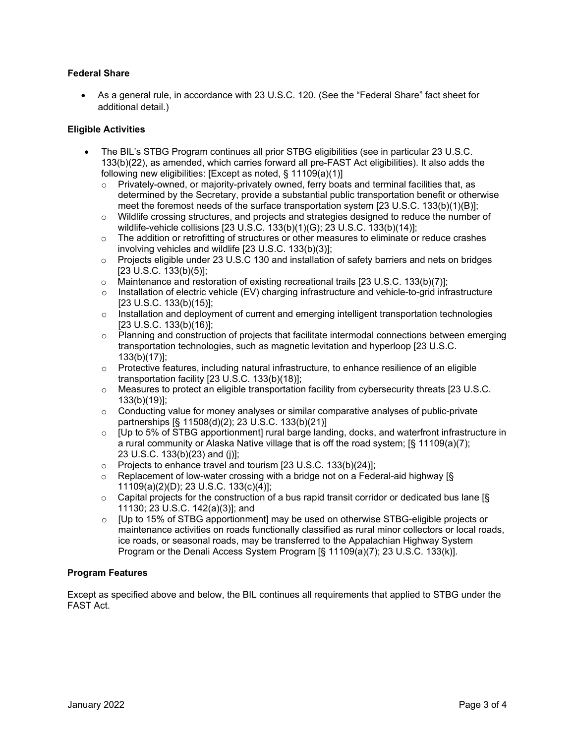# **Federal Share**

• As a general rule, in accordance with 23 U.S.C. 120. (See the "Federal Share" fact sheet for additional detail.)

# **Eligible Activities**

- The BIL's STBG Program continues all prior STBG eligibilities (see in particular 23 U.S.C. 133(b)(22), as amended, which carries forward all pre-FAST Act eligibilities). It also adds the following new eligibilities: [Except as noted, § 11109(a)(1)]
	- o Privately-owned, or majority-privately owned, ferry boats and terminal facilities that, as determined by the Secretary, provide a substantial public transportation benefit or otherwise meet the foremost needs of the surface transportation system [23 U.S.C. 133(b)(1)(B)];
	- o Wildlife crossing structures, and projects and strategies designed to reduce the number of wildlife-vehicle collisions [23 U.S.C. 133(b)(1)(G); 23 U.S.C. 133(b)(14)];
	- $\circ$  The addition or retrofitting of structures or other measures to eliminate or reduce crashes involving vehicles and wildlife [23 U.S.C. 133(b)(3)];
	- $\circ$  Projects eligible under 23 U.S.C 130 and installation of safety barriers and nets on bridges [23 U.S.C. 133(b)(5)];
	- $\circ$  Maintenance and restoration of existing recreational trails [23 U.S.C. 133(b)(7)];
	- $\circ$  Installation of electric vehicle (EV) charging infrastructure and vehicle-to-grid infrastructure [23 U.S.C. 133(b)(15)];
	- $\circ$  Installation and deployment of current and emerging intelligent transportation technologies [23 U.S.C. 133(b)(16)];
	- $\circ$  Planning and construction of projects that facilitate intermodal connections between emerging transportation technologies, such as magnetic levitation and hyperloop [23 U.S.C. 133(b)(17)];
	- $\circ$  Protective features, including natural infrastructure, to enhance resilience of an eligible transportation facility [23 U.S.C. 133(b)(18)];
	- $\circ$  Measures to protect an eligible transportation facility from cybersecurity threats [23 U.S.C. 133(b)(19)];
	- $\circ$  Conducting value for money analyses or similar comparative analyses of public-private partnerships [§ 11508(d)(2); 23 U.S.C. 133(b)(21)]
	- $\circ$  [Up to 5% of STBG apportionment] rural barge landing, docks, and waterfront infrastructure in a rural community or Alaska Native village that is off the road system;  $\S$  11109(a)(7); 23 U.S.C. 133(b)(23) and (j)];
	- o Projects to enhance travel and tourism [23 U.S.C. 133(b)(24)];<br>
	Replacement of low-water crossing with a bridge not on a Fede
	- Replacement of low-water crossing with a bridge not on a Federal-aid highway [§ 11109(a)(2)(D); 23 U.S.C. 133(c)(4)];
	- $\circ$  Capital projects for the construction of a bus rapid transit corridor or dedicated bus lane [§ 11130; 23 U.S.C. 142(a)(3)]; and
	- $\circ$  [Up to 15% of STBG apportionment] may be used on otherwise STBG-eligible projects or maintenance activities on roads functionally classified as rural minor collectors or local roads, ice roads, or seasonal roads, may be transferred to the Appalachian Highway System Program or the Denali Access System Program [§ 11109(a)(7); 23 U.S.C. 133(k)].

## **Program Features**

Except as specified above and below, the BIL continues all requirements that applied to STBG under the FAST Act.